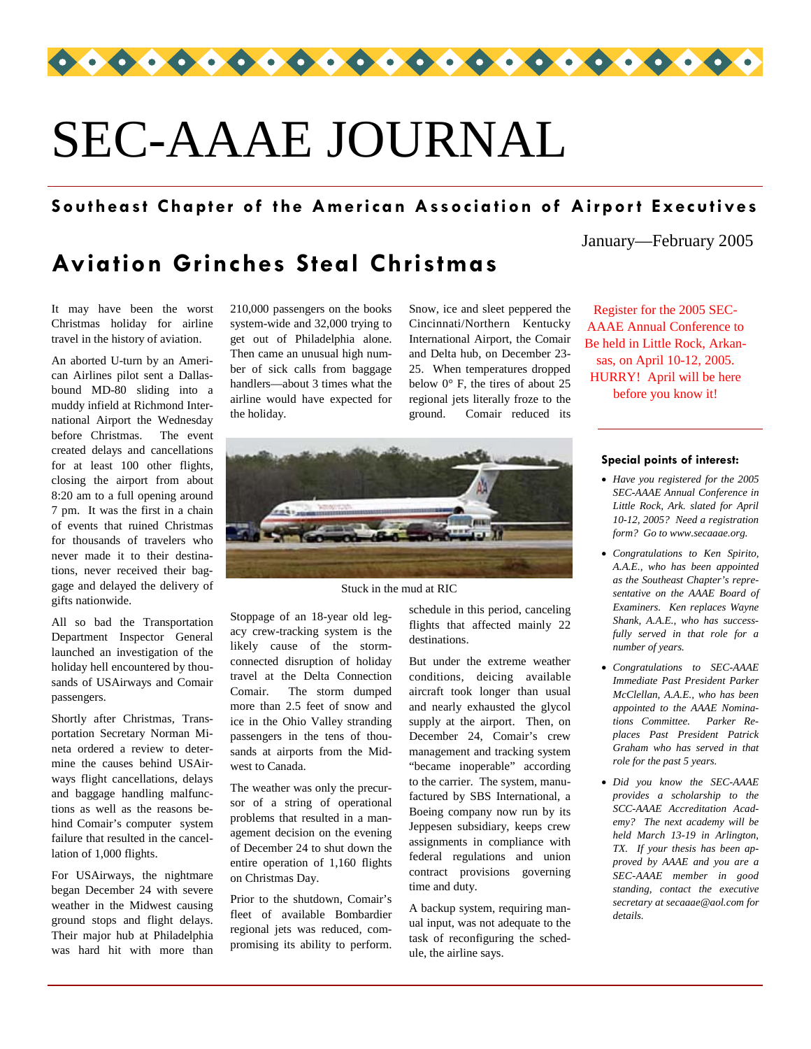

# SEC-AAAE JOURNAL

#### **Southeast Chapter of the American Association of Airport Executives**

## **Aviation Grinches Steal Christmas**

It may have been the worst Christmas holiday for airline travel in the history of aviation.

An aborted U-turn by an American Airlines pilot sent a Dallasbound MD-80 sliding into a muddy infield at Richmond International Airport the Wednesday before Christmas. The event created delays and cancellations for at least 100 other flights, closing the airport from about 8:20 am to a full opening around 7 pm. It was the first in a chain of events that ruined Christmas for thousands of travelers who never made it to their destinations, never received their baggage and delayed the delivery of gifts nationwide.

All so bad the Transportation Department Inspector General launched an investigation of the holiday hell encountered by thousands of USAirways and Comair passengers.

Shortly after Christmas, Transportation Secretary Norman Mineta ordered a review to determine the causes behind USAirways flight cancellations, delays and baggage handling malfunctions as well as the reasons behind Comair's computer system failure that resulted in the cancellation of 1,000 flights.

For USAirways, the nightmare began December 24 with severe weather in the Midwest causing ground stops and flight delays. Their major hub at Philadelphia was hard hit with more than 210,000 passengers on the books system-wide and 32,000 trying to get out of Philadelphia alone. Then came an unusual high number of sick calls from baggage handlers—about 3 times what the airline would have expected for the holiday.

Snow, ice and sleet peppered the Cincinnati/Northern Kentucky International Airport, the Comair and Delta hub, on December 23- 25. When temperatures dropped below 0° F, the tires of about 25 regional jets literally froze to the ground. Comair reduced its



Stuck in the mud at RIC

Stoppage of an 18-year old legacy crew-tracking system is the likely cause of the stormconnected disruption of holiday travel at the Delta Connection Comair. The storm dumped more than 2.5 feet of snow and ice in the Ohio Valley stranding passengers in the tens of thousands at airports from the Midwest to Canada.

The weather was only the precursor of a string of operational problems that resulted in a management decision on the evening of December 24 to shut down the entire operation of 1,160 flights on Christmas Day.

Prior to the shutdown, Comair's fleet of available Bombardier regional jets was reduced, compromising its ability to perform. schedule in this period, canceling flights that affected mainly 22 destinations.

But under the extreme weather conditions, deicing available aircraft took longer than usual and nearly exhausted the glycol supply at the airport. Then, on December 24, Comair's crew management and tracking system "became inoperable" according to the carrier. The system, manufactured by SBS International, a Boeing company now run by its Jeppesen subsidiary, keeps crew assignments in compliance with federal regulations and union contract provisions governing time and duty.

A backup system, requiring manual input, was not adequate to the task of reconfiguring the schedule, the airline says.

January—February 2005

Register for the 2005 SEC-AAAE Annual Conference to Be held in Little Rock, Arkansas, on April 10-12, 2005. HURRY! April will be here before you know it!

#### **Special points of interest:**

- *Have you registered for the 2005 SEC-AAAE Annual Conference in Little Rock, Ark. slated for April 10-12, 2005? Need a registration form? Go to www.secaaae.org.*
- *Congratulations to Ken Spirito, A.A.E., who has been appointed as the Southeast Chapter's representative on the AAAE Board of Examiners. Ken replaces Wayne Shank, A.A.E., who has successfully served in that role for a number of years.*
- *Congratulations to SEC-AAAE Immediate Past President Parker McClellan, A.A.E., who has been appointed to the AAAE Nominations Committee. Parker Replaces Past President Patrick Graham who has served in that role for the past 5 years.*
- *Did you know the SEC-AAAE provides a scholarship to the SCC-AAAE Accreditation Academy? The next academy will be held March 13-19 in Arlington, TX. If your thesis has been approved by AAAE and you are a SEC-AAAE member in good standing, contact the executive secretary at secaaae@aol.com for details.*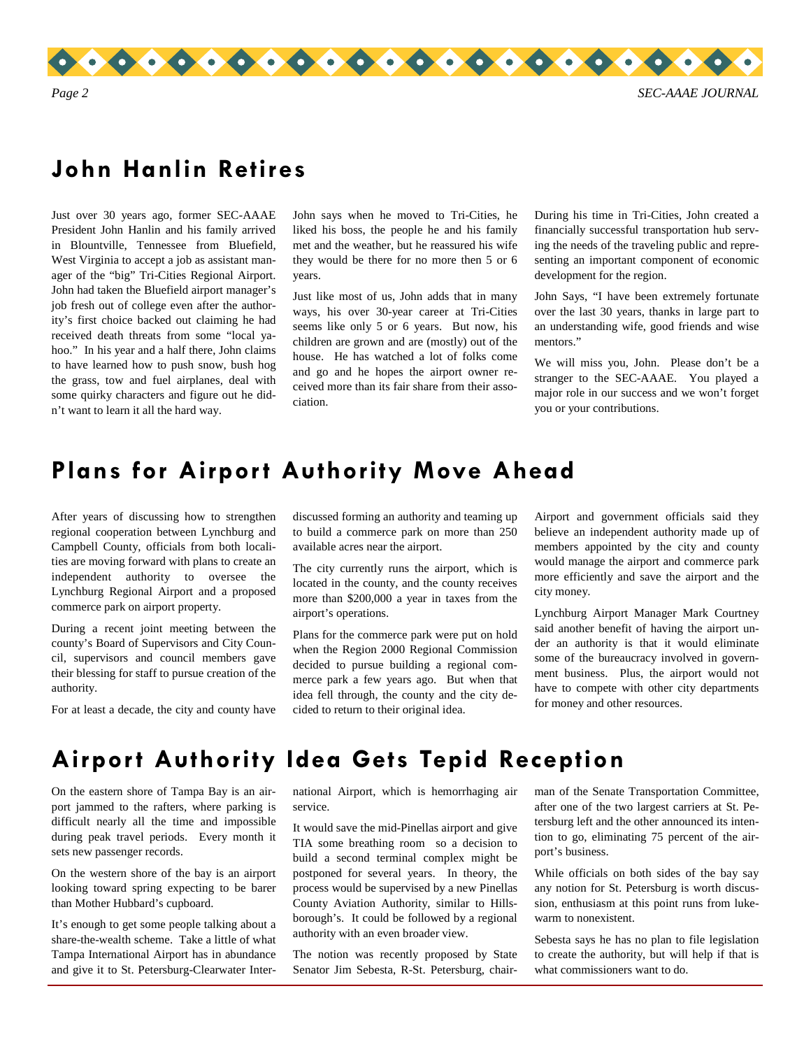

## **John Hanlin Retires**

Just over 30 years ago, former SEC-AAAE President John Hanlin and his family arrived in Blountville, Tennessee from Bluefield, West Virginia to accept a job as assistant manager of the "big" Tri-Cities Regional Airport. John had taken the Bluefield airport manager's job fresh out of college even after the authority's first choice backed out claiming he had received death threats from some "local yahoo." In his year and a half there, John claims to have learned how to push snow, bush hog the grass, tow and fuel airplanes, deal with some quirky characters and figure out he didn't want to learn it all the hard way.

John says when he moved to Tri-Cities, he liked his boss, the people he and his family met and the weather, but he reassured his wife they would be there for no more then 5 or 6 years.

Just like most of us, John adds that in many ways, his over 30-year career at Tri-Cities seems like only 5 or 6 years. But now, his children are grown and are (mostly) out of the house. He has watched a lot of folks come and go and he hopes the airport owner received more than its fair share from their association.

During his time in Tri-Cities, John created a financially successful transportation hub serving the needs of the traveling public and representing an important component of economic development for the region.

John Says, "I have been extremely fortunate over the last 30 years, thanks in large part to an understanding wife, good friends and wise mentors."

We will miss you, John. Please don't be a stranger to the SEC-AAAE. You played a major role in our success and we won't forget you or your contributions.

#### **Plans for Airport Authority Move Ahead**

After years of discussing how to strengthen regional cooperation between Lynchburg and Campbell County, officials from both localities are moving forward with plans to create an independent authority to oversee the Lynchburg Regional Airport and a proposed commerce park on airport property.

During a recent joint meeting between the county's Board of Supervisors and City Council, supervisors and council members gave their blessing for staff to pursue creation of the authority.

For at least a decade, the city and county have

discussed forming an authority and teaming up to build a commerce park on more than 250 available acres near the airport.

The city currently runs the airport, which is located in the county, and the county receives more than \$200,000 a year in taxes from the airport's operations.

Plans for the commerce park were put on hold when the Region 2000 Regional Commission decided to pursue building a regional commerce park a few years ago. But when that idea fell through, the county and the city decided to return to their original idea.

Airport and government officials said they believe an independent authority made up of members appointed by the city and county would manage the airport and commerce park more efficiently and save the airport and the city money.

Lynchburg Airport Manager Mark Courtney said another benefit of having the airport under an authority is that it would eliminate some of the bureaucracy involved in government business. Plus, the airport would not have to compete with other city departments for money and other resources.

#### **Airport Authority Idea Gets Tepid Reception**

On the eastern shore of Tampa Bay is an airport jammed to the rafters, where parking is difficult nearly all the time and impossible during peak travel periods. Every month it sets new passenger records.

On the western shore of the bay is an airport looking toward spring expecting to be barer than Mother Hubbard's cupboard.

It's enough to get some people talking about a share-the-wealth scheme. Take a little of what Tampa International Airport has in abundance and give it to St. Petersburg-Clearwater International Airport, which is hemorrhaging air service.

It would save the mid-Pinellas airport and give TIA some breathing room so a decision to build a second terminal complex might be postponed for several years. In theory, the process would be supervised by a new Pinellas County Aviation Authority, similar to Hillsborough's. It could be followed by a regional authority with an even broader view.

The notion was recently proposed by State Senator Jim Sebesta, R-St. Petersburg, chairman of the Senate Transportation Committee, after one of the two largest carriers at St. Petersburg left and the other announced its intention to go, eliminating 75 percent of the airport's business.

While officials on both sides of the bay say any notion for St. Petersburg is worth discussion, enthusiasm at this point runs from lukewarm to nonexistent.

Sebesta says he has no plan to file legislation to create the authority, but will help if that is what commissioners want to do.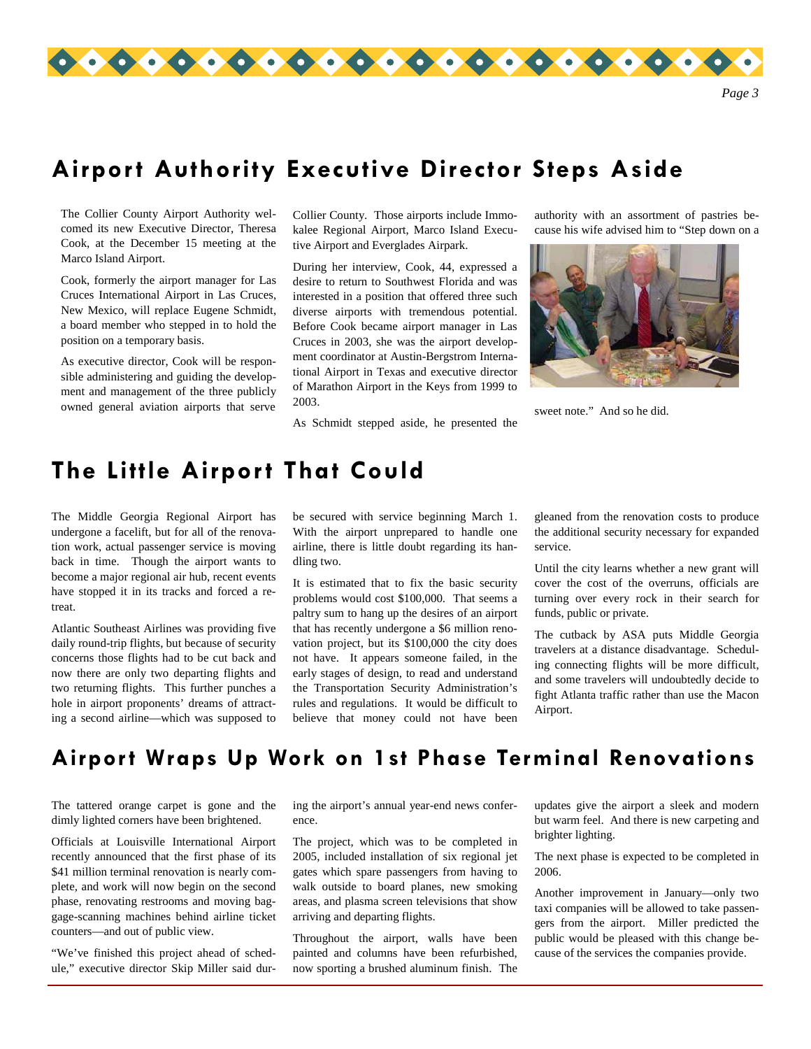

## **Airport Authority Executive Director Steps Aside**

The Collier County Airport Authority welcomed its new Executive Director, Theresa Cook, at the December 15 meeting at the Marco Island Airport.

Cook, formerly the airport manager for Las Cruces International Airport in Las Cruces, New Mexico, will replace Eugene Schmidt, a board member who stepped in to hold the position on a temporary basis.

As executive director, Cook will be responsible administering and guiding the development and management of the three publicly owned general aviation airports that serve

Collier County. Those airports include Immokalee Regional Airport, Marco Island Executive Airport and Everglades Airpark.

During her interview, Cook, 44, expressed a desire to return to Southwest Florida and was interested in a position that offered three such diverse airports with tremendous potential. Before Cook became airport manager in Las Cruces in 2003, she was the airport development coordinator at Austin-Bergstrom International Airport in Texas and executive director of Marathon Airport in the Keys from 1999 to 2003.

As Schmidt stepped aside, he presented the

authority with an assortment of pastries because his wife advised him to "Step down on a



sweet note." And so he did.

## **The Little Airport That Could**

The Middle Georgia Regional Airport has undergone a facelift, but for all of the renovation work, actual passenger service is moving back in time. Though the airport wants to become a major regional air hub, recent events have stopped it in its tracks and forced a retreat.

Atlantic Southeast Airlines was providing five daily round-trip flights, but because of security concerns those flights had to be cut back and now there are only two departing flights and two returning flights. This further punches a hole in airport proponents' dreams of attracting a second airline—which was supposed to be secured with service beginning March 1. With the airport unprepared to handle one airline, there is little doubt regarding its handling two.

It is estimated that to fix the basic security problems would cost \$100,000. That seems a paltry sum to hang up the desires of an airport that has recently undergone a \$6 million renovation project, but its \$100,000 the city does not have. It appears someone failed, in the early stages of design, to read and understand the Transportation Security Administration's rules and regulations. It would be difficult to believe that money could not have been gleaned from the renovation costs to produce the additional security necessary for expanded service.

Until the city learns whether a new grant will cover the cost of the overruns, officials are turning over every rock in their search for funds, public or private.

The cutback by ASA puts Middle Georgia travelers at a distance disadvantage. Scheduling connecting flights will be more difficult, and some travelers will undoubtedly decide to fight Atlanta traffic rather than use the Macon Airport.

## **Airport Wraps Up Work on 1st Phase Terminal Renovations**

The tattered orange carpet is gone and the dimly lighted corners have been brightened.

Officials at Louisville International Airport recently announced that the first phase of its \$41 million terminal renovation is nearly complete, and work will now begin on the second phase, renovating restrooms and moving baggage-scanning machines behind airline ticket counters—and out of public view.

"We've finished this project ahead of schedule," executive director Skip Miller said during the airport's annual year-end news conference.

The project, which was to be completed in 2005, included installation of six regional jet gates which spare passengers from having to walk outside to board planes, new smoking areas, and plasma screen televisions that show arriving and departing flights.

Throughout the airport, walls have been painted and columns have been refurbished, now sporting a brushed aluminum finish. The updates give the airport a sleek and modern but warm feel. And there is new carpeting and brighter lighting.

The next phase is expected to be completed in 2006.

Another improvement in January—only two taxi companies will be allowed to take passengers from the airport. Miller predicted the public would be pleased with this change because of the services the companies provide.